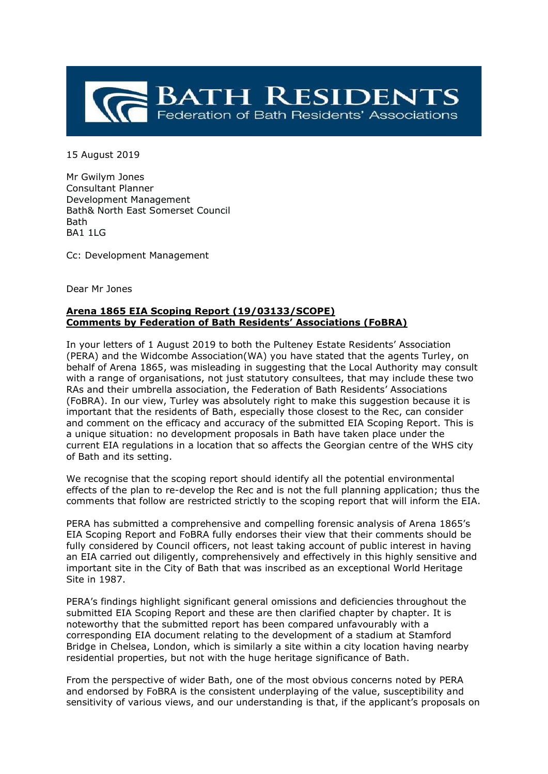

15 August 2019

Mr Gwilym Jones Consultant Planner Development Management Bath& North East Somerset Council Bath BA1 1LG

Cc: Development Management

Dear Mr Jones

## **Arena 1865 EIA Scoping Report (19/03133/SCOPE) Comments by Federation of Bath Residents' Associations (FoBRA)**

In your letters of 1 August 2019 to both the Pulteney Estate Residents' Association (PERA) and the Widcombe Association(WA) you have stated that the agents Turley, on behalf of Arena 1865, was misleading in suggesting that the Local Authority may consult with a range of organisations, not just statutory consultees, that may include these two RAs and their umbrella association, the Federation of Bath Residents' Associations (FoBRA). In our view, Turley was absolutely right to make this suggestion because it is important that the residents of Bath, especially those closest to the Rec, can consider and comment on the efficacy and accuracy of the submitted EIA Scoping Report. This is a unique situation: no development proposals in Bath have taken place under the current EIA regulations in a location that so affects the Georgian centre of the WHS city of Bath and its setting.

We recognise that the scoping report should identify all the potential environmental effects of the plan to re-develop the Rec and is not the full planning application; thus the comments that follow are restricted strictly to the scoping report that will inform the EIA.

PERA has submitted a comprehensive and compelling forensic analysis of Arena 1865's EIA Scoping Report and FoBRA fully endorses their view that their comments should be fully considered by Council officers, not least taking account of public interest in having an EIA carried out diligently, comprehensively and effectively in this highly sensitive and important site in the City of Bath that was inscribed as an exceptional World Heritage Site in 1987.

PERA's findings highlight significant general omissions and deficiencies throughout the submitted EIA Scoping Report and these are then clarified chapter by chapter. It is noteworthy that the submitted report has been compared unfavourably with a corresponding EIA document relating to the development of a stadium at Stamford Bridge in Chelsea, London, which is similarly a site within a city location having nearby residential properties, but not with the huge heritage significance of Bath.

From the perspective of wider Bath, one of the most obvious concerns noted by PERA and endorsed by FoBRA is the consistent underplaying of the value, susceptibility and sensitivity of various views, and our understanding is that, if the applicant's proposals on